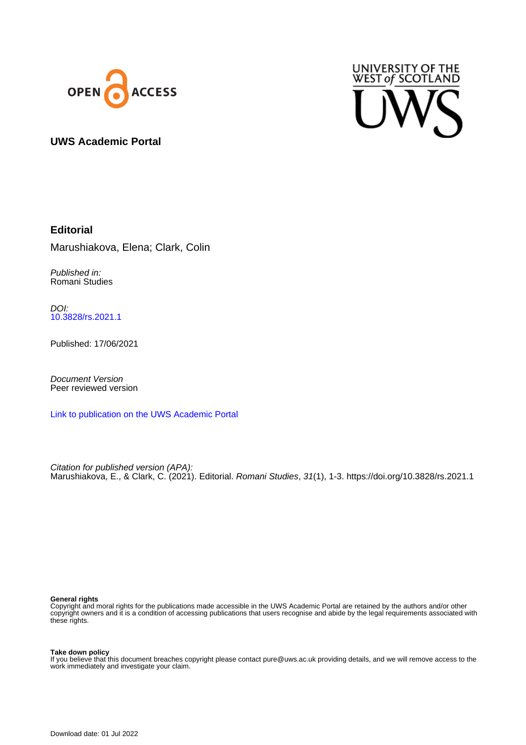



### **UWS Academic Portal**

# **Editorial**

Marushiakova, Elena; Clark, Colin

Published in: Romani Studies

DOI: [10.3828/rs.2021.1](https://doi.org/10.3828/rs.2021.1)

Published: 17/06/2021

Document Version Peer reviewed version

[Link to publication on the UWS Academic Portal](https://uws.pure.elsevier.com/en/publications/540fb0a0-0a8f-450a-bc48-d505f7e69536)

Citation for published version (APA): Marushiakova, E., & Clark, C. (2021). Editorial. Romani Studies, 31(1), 1-3.<https://doi.org/10.3828/rs.2021.1>

#### **General rights**

Copyright and moral rights for the publications made accessible in the UWS Academic Portal are retained by the authors and/or other copyright owners and it is a condition of accessing publications that users recognise and abide by the legal requirements associated with these rights.

### **Take down policy**

If you believe that this document breaches copyright please contact pure@uws.ac.uk providing details, and we will remove access to the work immediately and investigate your claim.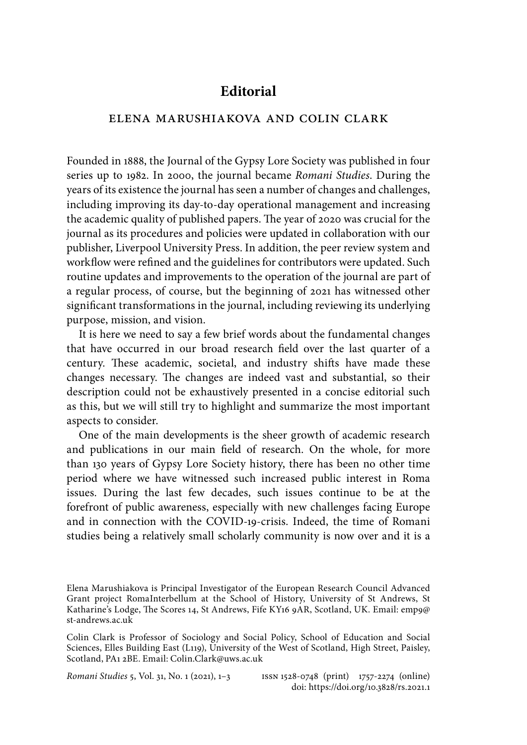# **Editorial**

### elena marushiakova and colin clark

Founded in 1888, the Journal of the Gypsy Lore Society was published in four series up to 1982. In 2000, the journal became *Romani Studies*. During the years of its existence the journal has seen a number of changes and challenges, including improving its day-to-day operational management and increasing the academic quality of published papers. The year of 2020 was crucial for the journal as its procedures and policies were updated in collaboration with our publisher, Liverpool University Press. In addition, the peer review system and workflow were refined and the guidelines for contributors were updated. Such routine updates and improvements to the operation of the journal are part of a regular process, of course, but the beginning of 2021 has witnessed other significant transformations in the journal, including reviewing its underlying purpose, mission, and vision.

It is here we need to say a few brief words about the fundamental changes that have occurred in our broad research field over the last quarter of a century. These academic, societal, and industry shifts have made these changes necessary. The changes are indeed vast and substantial, so their description could not be exhaustively presented in a concise editorial such as this, but we will still try to highlight and summarize the most important aspects to consider.

One of the main developments is the sheer growth of academic research and publications in our main field of research. On the whole, for more than 130 years of Gypsy Lore Society history, there has been no other time period where we have witnessed such increased public interest in Roma issues. During the last few decades, such issues continue to be at the forefront of public awareness, especially with new challenges facing Europe and in connection with the COVID-19-crisis. Indeed, the time of Romani studies being a relatively small scholarly community is now over and it is a

*Romani Studies* 5, Vol. 31, No. 1 (2021), 1–3 issn 1528-0748 (print) 1757-2274 (online) doi: https://doi.org/10.3828/rs.2021.1

Elena Marushiakova is Principal Investigator of the European Research Council Advanced Grant project RomaInterbellum at the School of History, University of St Andrews, St Katharine's Lodge, The Scores 14, St Andrews, Fife KY16 9AR, Scotland, UK. Email: emp9@ st-andrews.ac.uk

Colin Clark is Professor of Sociology and Social Policy, School of Education and Social Sciences, Elles Building East (L119), University of the West of Scotland, High Street, Paisley, Scotland, PA1 2BE. Email: Colin.Clark@uws.ac.uk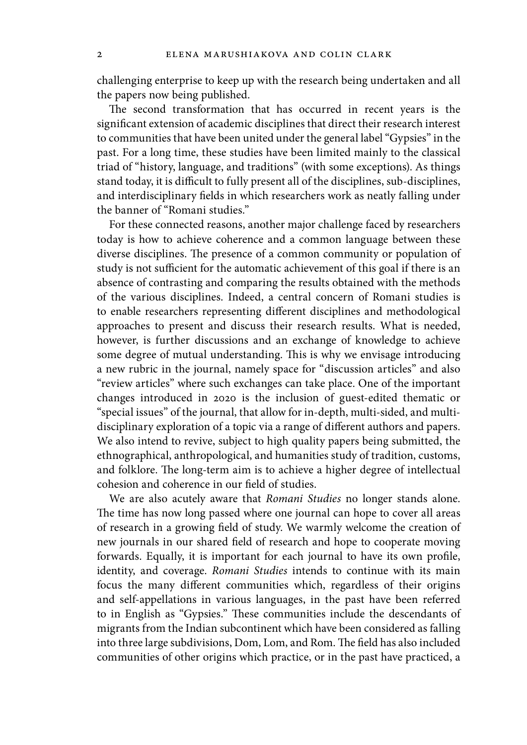challenging enterprise to keep up with the research being undertaken and all the papers now being published.

The second transformation that has occurred in recent years is the significant extension of academic disciplines that direct their research interest to communities that have been united under the general label "Gypsies" in the past. For a long time, these studies have been limited mainly to the classical triad of "history, language, and traditions" (with some exceptions). As things stand today, it is difficult to fully present all of the disciplines, sub-disciplines, and interdisciplinary fields in which researchers work as neatly falling under the banner of "Romani studies."

For these connected reasons, another major challenge faced by researchers today is how to achieve coherence and a common language between these diverse disciplines. The presence of a common community or population of study is not sufficient for the automatic achievement of this goal if there is an absence of contrasting and comparing the results obtained with the methods of the various disciplines. Indeed, a central concern of Romani studies is to enable researchers representing different disciplines and methodological approaches to present and discuss their research results. What is needed, however, is further discussions and an exchange of knowledge to achieve some degree of mutual understanding. This is why we envisage introducing a new rubric in the journal, namely space for "discussion articles" and also "review articles" where such exchanges can take place. One of the important changes introduced in 2020 is the inclusion of guest-edited thematic or "special issues" of the journal, that allow for in-depth, multi-sided, and multidisciplinary exploration of a topic via a range of different authors and papers. We also intend to revive, subject to high quality papers being submitted, the ethnographical, anthropological, and humanities study of tradition, customs, and folklore. The long-term aim is to achieve a higher degree of intellectual cohesion and coherence in our field of studies.

We are also acutely aware that *Romani Studies* no longer stands alone. The time has now long passed where one journal can hope to cover all areas of research in a growing field of study. We warmly welcome the creation of new journals in our shared field of research and hope to cooperate moving forwards. Equally, it is important for each journal to have its own profile, identity, and coverage. *Romani Studies* intends to continue with its main focus the many different communities which, regardless of their origins and self-appellations in various languages, in the past have been referred to in English as "Gypsies." These communities include the descendants of migrants from the Indian subcontinent which have been considered as falling into three large subdivisions, Dom, Lom, and Rom. The field has also included communities of other origins which practice, or in the past have practiced, a